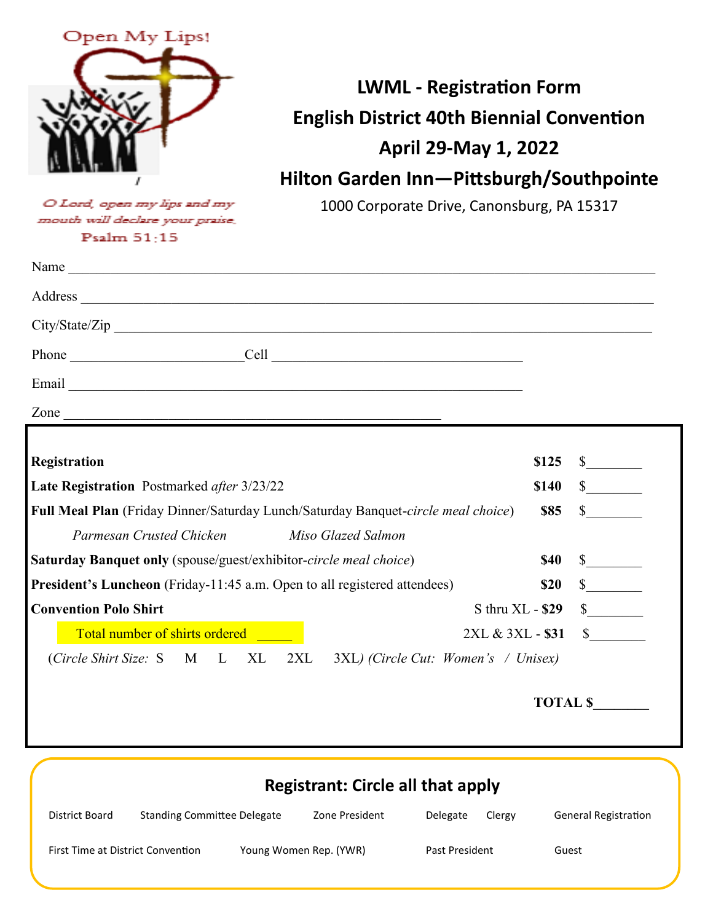

**LWML - Registration Form English District 40th Biennial Convention April 29-May 1, 2022 Hilton Garden Inn—Pittsburgh/Southpointe**

O Lord, open my lips and my mouth will declare your praise. Psalm  $51:15$ 

1000 Corporate Drive, Canonsburg, PA 15317

| Name $\frac{1}{\sqrt{1-\frac{1}{2}}\left(\frac{1}{2}-\frac{1}{2}\right)}$                        |              |
|--------------------------------------------------------------------------------------------------|--------------|
|                                                                                                  |              |
|                                                                                                  |              |
|                                                                                                  |              |
|                                                                                                  |              |
|                                                                                                  |              |
|                                                                                                  |              |
| Registration<br>\$125                                                                            | $\mathbb{S}$ |
| Late Registration Postmarked after 3/23/22<br>\$140                                              |              |
| <b>\$85</b><br>Full Meal Plan (Friday Dinner/Saturday Lunch/Saturday Banquet-circle meal choice) | $\mathbb{S}$ |
| Parmesan Crusted Chicken<br>Miso Glazed Salmon                                                   |              |
| <b>Saturday Banquet only</b> (spouse/guest/exhibitor-circle meal choice)<br><b>\$40</b>          |              |
| <b>President's Luncheon</b> (Friday-11:45 a.m. Open to all registered attendees)<br>\$20         |              |
| <b>Convention Polo Shirt</b><br>$S$ thru $XL - $29$                                              | $\sim$       |
| Total number of shirts ordered<br>2XL & 3XL - \$31                                               | $\mathbb{S}$ |
| (Circle Shirt Size: S M L XL<br>$2XL$ 3XL) (Circle Cut: Women's / Unisex)                        |              |

 **TOTAL \$\_\_\_\_\_\_\_\_**

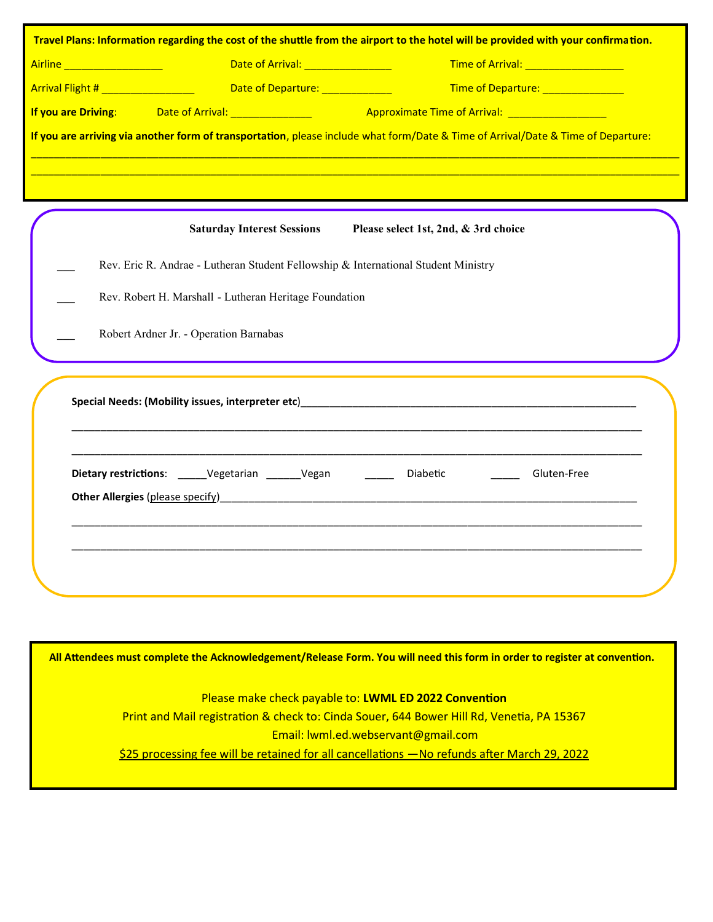| Travel Plans: Information regarding the cost of the shuttle from the airport to the hotel will be provided with your confirmation. |                                                                     |                                                                                                                                                                                                                                               |
|------------------------------------------------------------------------------------------------------------------------------------|---------------------------------------------------------------------|-----------------------------------------------------------------------------------------------------------------------------------------------------------------------------------------------------------------------------------------------|
|                                                                                                                                    |                                                                     | Time of Arrival: __________________                                                                                                                                                                                                           |
|                                                                                                                                    | Arrival Flight # __________________ Date of Departure: ____________ | Time of Departure: ______________                                                                                                                                                                                                             |
|                                                                                                                                    |                                                                     |                                                                                                                                                                                                                                               |
|                                                                                                                                    |                                                                     | If you are arriving via another form of transportation, please include what form/Date & Time of Arrival/Date & Time of Departure:                                                                                                             |
|                                                                                                                                    |                                                                     |                                                                                                                                                                                                                                               |
|                                                                                                                                    |                                                                     |                                                                                                                                                                                                                                               |
|                                                                                                                                    | <b>Saturday Interest Sessions</b>                                   | Please select 1st, 2nd, & 3rd choice                                                                                                                                                                                                          |
| Rev. Eric R. Andrae - Lutheran Student Fellowship & International Student Ministry                                                 |                                                                     |                                                                                                                                                                                                                                               |
| Rev. Robert H. Marshall - Lutheran Heritage Foundation                                                                             |                                                                     |                                                                                                                                                                                                                                               |
|                                                                                                                                    | Robert Ardner Jr. - Operation Barnabas                              |                                                                                                                                                                                                                                               |
|                                                                                                                                    |                                                                     |                                                                                                                                                                                                                                               |
|                                                                                                                                    | Dietary restrictions: _____Vegetarian ______Vegan _______ Diabetic  | Gluten-Free<br>Other Allergies (please specify) and the contract of the contract of the contract of the contract of the contract of the contract of the contract of the contract of the contract of the contract of the contract of the contr |
|                                                                                                                                    |                                                                     |                                                                                                                                                                                                                                               |
|                                                                                                                                    |                                                                     |                                                                                                                                                                                                                                               |

**All Attendees must complete the Acknowledgement/Release Form. You will need this form in order to register at convention.**

Please make check payable to: **LWML ED 2022 Convention**  Print and Mail registration & check to: Cinda Souer, 644 Bower Hill Rd, Venetia, PA 15367 Email: lwml.ed.webservant@gmail.com \$25 processing fee will be retained for all cancellations —No refunds after March 29, 2022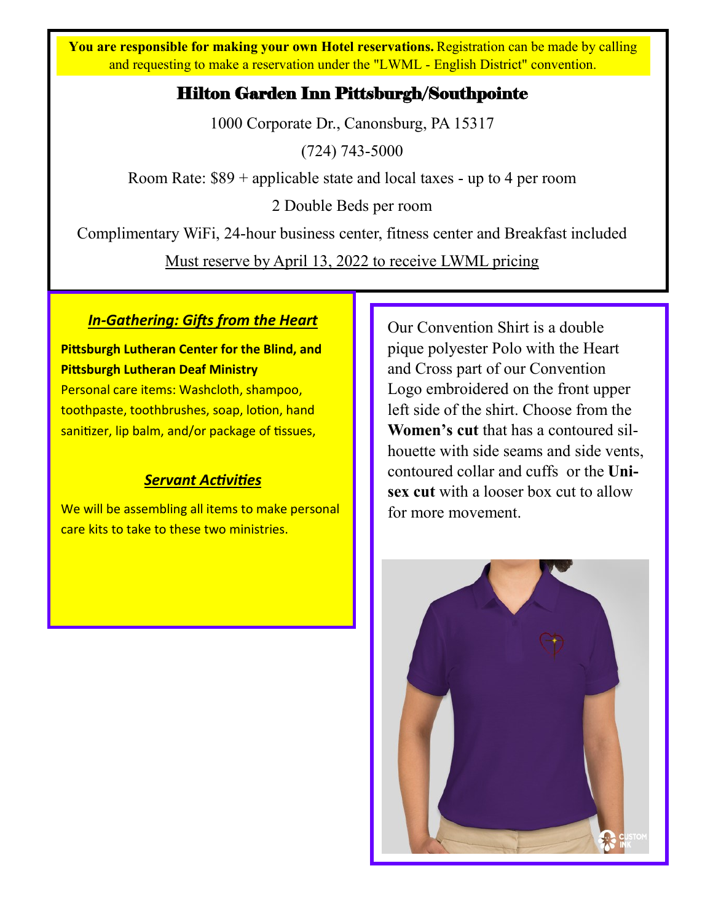**You are responsible for making your own Hotel reservations. Registration can be made by calling** and requesting to make a reservation under the "LWML - English District" convention.

## Hilton Garden Inn Pittsburgh/Southpointe

1000 Corporate Dr., Canonsburg, PA 15317

(724) 743-5000

Room Rate: \$89 + applicable state and local taxes - up to 4 per room

2 Double Beds per room

Complimentary WiFi, 24-hour business center, fitness center and Breakfast included

Must reserve by April 13, 2022 to receive LWML pricing

### *In-Gathering: Gifts from the Heart*

**Pittsburgh Lutheran Center for the Blind, and Pittsburgh Lutheran Deaf Ministry**

Personal care items: Washcloth, shampoo, toothpaste, toothbrushes, soap, lotion, hand sanitizer, lip balm, and/or package of tissues,

## *Servant Activities*

We will be assembling all items to make personal care kits to take to these two ministries.

Our Convention Shirt is a double pique polyester Polo with the Heart and Cross part of our Convention Logo embroidered on the front upper left side of the shirt. Choose from the **Women's cut** that has a contoured silhouette with side seams and side vents, contoured collar and cuffs or the **Unisex cut** with a looser box cut to allow for more movement.